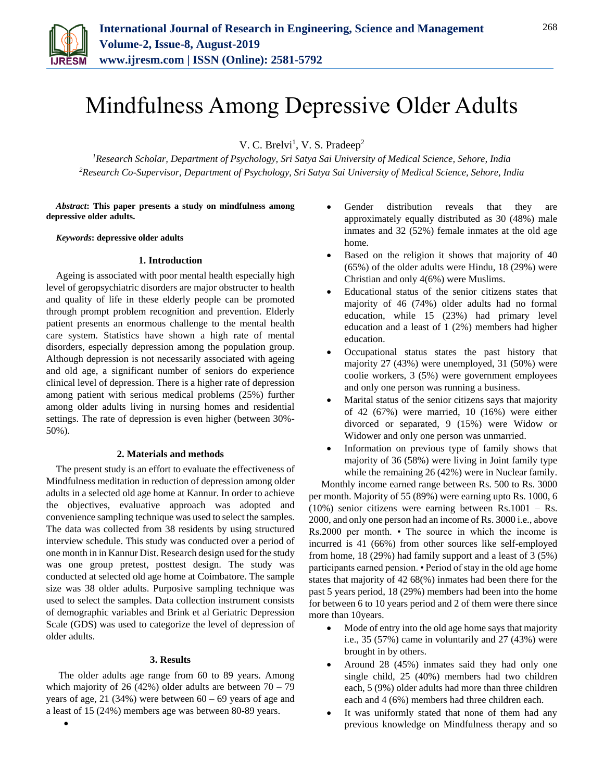

# Mindfulness Among Depressive Older Adults

V. C. Brelvi<sup>1</sup>, V. S. Pradeep<sup>2</sup>

*<sup>1</sup>Research Scholar, Department of Psychology, Sri Satya Sai University of Medical Science, Sehore, India 2Research Co-Supervisor, Department of Psychology, Sri Satya Sai University of Medical Science, Sehore, India*

*Abstract***: This paper presents a study on mindfulness among depressive older adults.**

*Keywords***: depressive older adults**

## **1. Introduction**

Ageing is associated with poor mental health especially high level of geropsychiatric disorders are major obstructer to health and quality of life in these elderly people can be promoted through prompt problem recognition and prevention. Elderly patient presents an enormous challenge to the mental health care system. Statistics have shown a high rate of mental disorders, especially depression among the population group. Although depression is not necessarily associated with ageing and old age, a significant number of seniors do experience clinical level of depression. There is a higher rate of depression among patient with serious medical problems (25%) further among older adults living in nursing homes and residential settings. The rate of depression is even higher (between 30%- 50%).

#### **2. Materials and methods**

The present study is an effort to evaluate the effectiveness of Mindfulness meditation in reduction of depression among older adults in a selected old age home at Kannur. In order to achieve the objectives, evaluative approach was adopted and convenience sampling technique was used to select the samples. The data was collected from 38 residents by using structured interview schedule. This study was conducted over a period of one month in in Kannur Dist. Research design used for the study was one group pretest, posttest design. The study was conducted at selected old age home at Coimbatore. The sample size was 38 older adults. Purposive sampling technique was used to select the samples. Data collection instrument consists of demographic variables and Brink et al Geriatric Depression Scale (GDS) was used to categorize the level of depression of older adults.

### **3. Results**

The older adults age range from 60 to 89 years. Among which majority of 26 (42%) older adults are between  $70 - 79$ years of age, 21 (34%) were between  $60 - 69$  years of age and a least of 15 (24%) members age was between 80-89 years.

 $\bullet$ 

- Gender distribution reveals that they are approximately equally distributed as 30 (48%) male inmates and 32 (52%) female inmates at the old age home.
- Based on the religion it shows that majority of 40 (65%) of the older adults were Hindu, 18 (29%) were Christian and only 4(6%) were Muslims.
- Educational status of the senior citizens states that majority of 46 (74%) older adults had no formal education, while 15 (23%) had primary level education and a least of 1 (2%) members had higher education.
- Occupational status states the past history that majority 27 (43%) were unemployed, 31 (50%) were coolie workers, 3 (5%) were government employees and only one person was running a business.
- Marital status of the senior citizens says that majority of 42 (67%) were married, 10 (16%) were either divorced or separated, 9 (15%) were Widow or Widower and only one person was unmarried.
- Information on previous type of family shows that majority of 36 (58%) were living in Joint family type while the remaining 26 (42%) were in Nuclear family.

Monthly income earned range between Rs. 500 to Rs. 3000 per month. Majority of 55 (89%) were earning upto Rs. 1000, 6 (10%) senior citizens were earning between Rs.1001 – Rs. 2000, and only one person had an income of Rs. 3000 i.e., above Rs.2000 per month. • The source in which the income is incurred is 41 (66%) from other sources like self-employed from home, 18 (29%) had family support and a least of 3 (5%) participants earned pension. • Period of stay in the old age home states that majority of 42 68(%) inmates had been there for the past 5 years period, 18 (29%) members had been into the home for between 6 to 10 years period and 2 of them were there since more than 10years.

- Mode of entry into the old age home says that majority i.e., 35 (57%) came in voluntarily and 27 (43%) were brought in by others.
- Around 28 (45%) inmates said they had only one single child, 25 (40%) members had two children each, 5 (9%) older adults had more than three children each and 4 (6%) members had three children each.
- It was uniformly stated that none of them had any previous knowledge on Mindfulness therapy and so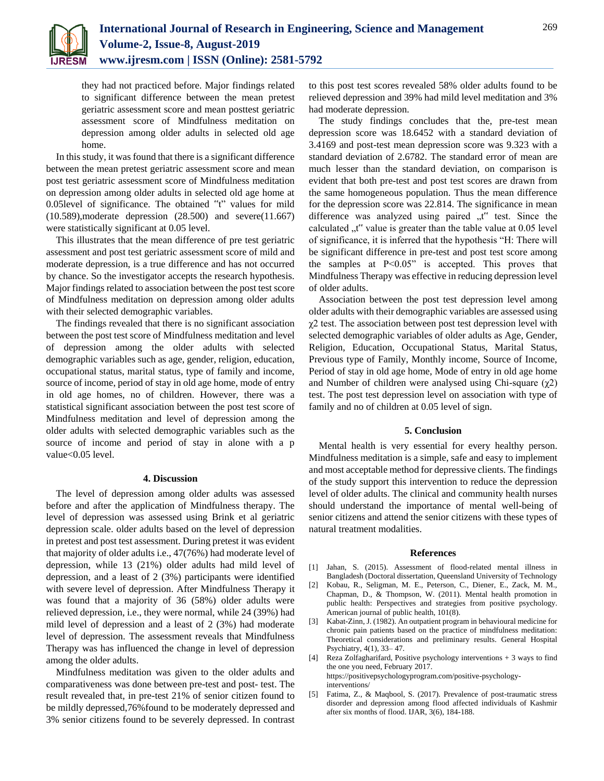

they had not practiced before. Major findings related to significant difference between the mean pretest geriatric assessment score and mean posttest geriatric assessment score of Mindfulness meditation on depression among older adults in selected old age home.

In this study, it was found that there is a significant difference between the mean pretest geriatric assessment score and mean post test geriatric assessment score of Mindfulness meditation on depression among older adults in selected old age home at 0.05level of significance. The obtained "t" values for mild (10.589),moderate depression (28.500) and severe(11.667) were statistically significant at 0.05 level.

This illustrates that the mean difference of pre test geriatric assessment and post test geriatric assessment score of mild and moderate depression, is a true difference and has not occurred by chance. So the investigator accepts the research hypothesis. Major findings related to association between the post test score of Mindfulness meditation on depression among older adults with their selected demographic variables.

The findings revealed that there is no significant association between the post test score of Mindfulness meditation and level of depression among the older adults with selected demographic variables such as age, gender, religion, education, occupational status, marital status, type of family and income, source of income, period of stay in old age home, mode of entry in old age homes, no of children. However, there was a statistical significant association between the post test score of Mindfulness meditation and level of depression among the older adults with selected demographic variables such as the source of income and period of stay in alone with a p value<0.05 level.

## **4. Discussion**

The level of depression among older adults was assessed before and after the application of Mindfulness therapy. The level of depression was assessed using Brink et al geriatric depression scale. older adults based on the level of depression in pretest and post test assessment. During pretest it was evident that majority of older adults i.e., 47(76%) had moderate level of depression, while 13 (21%) older adults had mild level of depression, and a least of 2 (3%) participants were identified with severe level of depression. After Mindfulness Therapy it was found that a majority of 36 (58%) older adults were relieved depression, i.e., they were normal, while 24 (39%) had mild level of depression and a least of 2 (3%) had moderate level of depression. The assessment reveals that Mindfulness Therapy was has influenced the change in level of depression among the older adults.

Mindfulness meditation was given to the older adults and comparativeness was done between pre-test and post- test. The result revealed that, in pre-test 21% of senior citizen found to be mildly depressed,76%found to be moderately depressed and 3% senior citizens found to be severely depressed. In contrast

to this post test scores revealed 58% older adults found to be relieved depression and 39% had mild level meditation and 3% had moderate depression.

The study findings concludes that the, pre-test mean depression score was 18.6452 with a standard deviation of 3.4169 and post-test mean depression score was 9.323 with a standard deviation of 2.6782. The standard error of mean are much lesser than the standard deviation, on comparison is evident that both pre-test and post test scores are drawn from the same homogeneous population. Thus the mean difference for the depression score was 22.814. The significance in mean difference was analyzed using paired "t" test. Since the calculated  $t$ , t" value is greater than the table value at 0.05 level of significance, it is inferred that the hypothesis "H: There will be significant difference in pre-test and post test score among the samples at P<0.05" is accepted. This proves that Mindfulness Therapy was effective in reducing depression level of older adults.

Association between the post test depression level among older adults with their demographic variables are assessed using  $\chi$ 2 test. The association between post test depression level with selected demographic variables of older adults as Age, Gender, Religion, Education, Occupational Status, Marital Status, Previous type of Family, Monthly income, Source of Income, Period of stay in old age home, Mode of entry in old age home and Number of children were analysed using Chi-square  $(\chi^2)$ test. The post test depression level on association with type of family and no of children at 0.05 level of sign.

#### **5. Conclusion**

Mental health is very essential for every healthy person. Mindfulness meditation is a simple, safe and easy to implement and most acceptable method for depressive clients. The findings of the study support this intervention to reduce the depression level of older adults. The clinical and community health nurses should understand the importance of mental well-being of senior citizens and attend the senior citizens with these types of natural treatment modalities.

#### **References**

- [1] Jahan, S. (2015). Assessment of flood-related mental illness in Bangladesh (Doctoral dissertation, Queensland University of Technology
- [2] Kobau, R., Seligman, M. E., Peterson, C., Diener, E., Zack, M. M., Chapman, D., & Thompson, W. (2011). Mental health promotion in public health: Perspectives and strategies from positive psychology. American journal of public health, 101(8).
- [3] Kabat-Zinn, J. (1982). An outpatient program in behavioural medicine for chronic pain patients based on the practice of mindfulness meditation: Theoretical considerations and preliminary results. General Hospital Psychiatry, 4(1), 33– 47.
- [4] Reza Zolfagharifard, Positive psychology interventions + 3 ways to find the one you need, February 2017. https://positivepsychologyprogram.com/positive-psychologyinterventions/
- [5] Fatima, Z., & Maqbool, S. (2017). Prevalence of post-traumatic stress disorder and depression among flood affected individuals of Kashmir after six months of flood. IJAR, 3(6), 184-188.